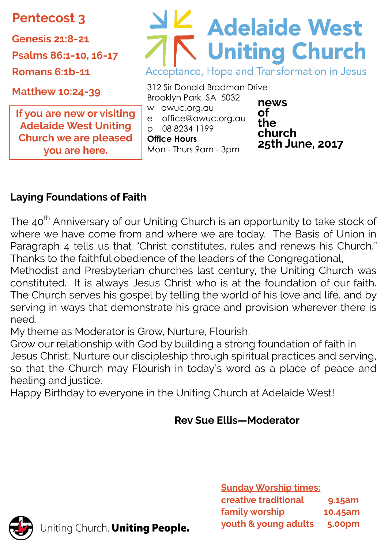**Pentecost 3**

**Genesis 21:8-21**

**Psalms 86:1-10, 16-17**

**Romans 6:1b-11**

**Matthew 10:24-39**

**If you are new or visiting Adelaide West Uniting Church we are pleased you are here.** 

# Adelaide West Acceptance, Hope and Transformation in Jesus

312 Sir Donald Bradman Drive Brooklyn Park SA 5032 w awuc.org.au e office@awuc.org.au p 08 8234 1199 **Office Hours**  Mon - Thurs 9am - 3pm

**news of the church 25th June, 2017**

# **Laying Foundations of Faith**

The 40<sup>th</sup> Anniversary of our Uniting Church is an opportunity to take stock of where we have come from and where we are today. The Basis of Union in Paragraph 4 tells us that "Christ constitutes, rules and renews his Church." Thanks to the faithful obedience of the leaders of the Congregational,

Methodist and Presbyterian churches last century, the Uniting Church was constituted. It is always Jesus Christ who is at the foundation of our faith. The Church serves his gospel by telling the world of his love and life, and by serving in ways that demonstrate his grace and provision wherever there is need.

My theme as Moderator is Grow, Nurture, Flourish.

Grow our relationship with God by building a strong foundation of faith in Jesus Christ; Nurture our discipleship through spiritual practices and serving, so that the Church may Flourish in today's word as a place of peace and healing and justice.

Happy Birthday to everyone in the Uniting Church at Adelaide West!

# **Rev Sue Ellis—Moderator**

**Sunday Worship times: creative traditional 9.15am family worship 10.45am youth & young adults 5.00pm**



Uniting Church. Uniting People.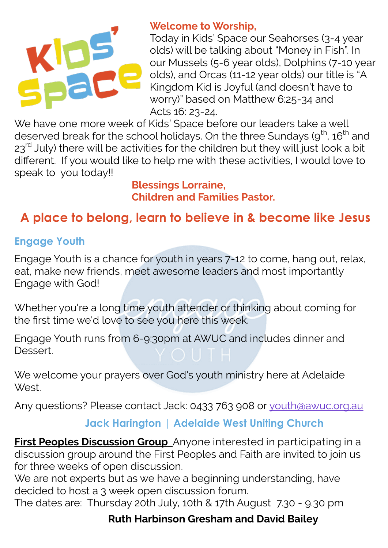

#### **Welcome to Worship,**

Today in Kids' Space our Seahorses (3-4 year olds) will be talking about "Money in Fish". In our Mussels (5-6 year olds), Dolphins (7-10 year olds), and Orcas (11-12 year olds) our title is "A Kingdom Kid is Joyful (and doesn't have to worry)" based on Matthew 6:25-34 and Acts 16: 23-24.

We have one more week of Kids' Space before our leaders take a well deserved break for the school holidays. On the three Sundays (9<sup>th</sup>, 16<sup>th</sup> and  $23<sup>rd</sup>$  July) there will be activities for the children but they will just look a bit different. If you would like to help me with these activities, I would love to speak to you today!!

> **Blessings Lorraine, Children and Families Pastor.**

# **A place to belong, learn to believe in & become like Jesus**

#### **Engage Youth**

Engage Youth is a chance for youth in years 7-12 to come, hang out, relax, eat, make new friends, meet awesome leaders and most importantly Engage with God!

Whether you're a long time youth attender or thinking about coming for the first time we'd love to see you here this week.

Engage Youth runs from 6-9:30pm at AWUC and includes dinner and Dessert.

We welcome your prayers over God's youth ministry here at Adelaide **West** 

Any questions? Please contact Jack: 0433 763 908 or [youth@awuc.org.au](mailto:youth@awuc.org.au)

#### **Jack Harington | Adelaide West Uniting Church**

**First Peoples Discussion Group** Anyone interested in participating in a discussion group around the First Peoples and Faith are invited to join us for three weeks of open discussion.

We are not experts but as we have a beginning understanding, have decided to host a 3 week open discussion forum.

The dates are: Thursday 20th July, 10th & 17th August 7.30 - 9.30 pm 

#### **Ruth Harbinson Gresham and David Bailey**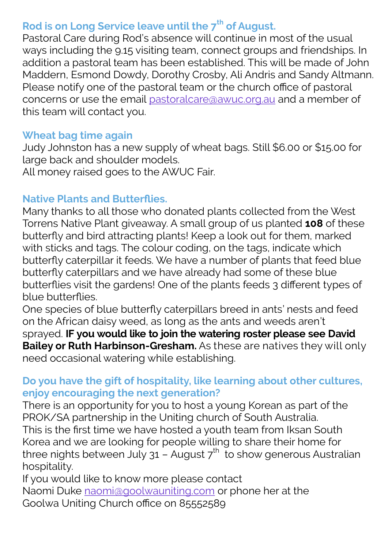# **Rod is on Long Service leave until the 7th of August.**

Pastoral Care during Rod's absence will continue in most of the usual ways including the 9.15 visiting team, connect groups and friendships. In addition a pastoral team has been established. This will be made of John Maddern, Esmond Dowdy, Dorothy Crosby, Ali Andris and Sandy Altmann. Please notify one of the pastoral team or the church office of pastoral concerns or use the email [pastoralcare@awuc.org.au](mailto:pastoralcare@awuc.org.au) and a member of this team will contact you.

#### **Wheat bag time again**

Judy Johnston has a new supply of wheat bags. Still \$6.00 or \$15.00 for large back and shoulder models.

All money raised goes to the AWUC Fair.

#### **Native Plants and Butterflies.**

Many thanks to all those who donated plants collected from the West Torrens Native Plant giveaway. A small group of us planted **108** of these butterfly and bird attracting plants! Keep a look out for them, marked with sticks and tags. The colour coding, on the tags, indicate which butterfly caterpillar it feeds. We have a number of plants that feed blue butterfly caterpillars and we have already had some of these blue butterflies visit the gardens! One of the plants feeds 3 different types of blue butterflies.

One species of blue butterfly caterpillars breed in ants' nests and feed on the African daisy weed, as long as the ants and weeds aren't sprayed. **IF you would like to join the watering roster please see David Bailey or Ruth Harbinson-Gresham.** As these are natives they will only need occasional watering while establishing.

#### **Do you have the gift of hospitality, like learning about other cultures, enjoy encouraging the next generation?**

There is an opportunity for you to host a young Korean as part of the PROK/SA partnership in the Uniting church of South Australia.

This is the first time we have hosted a youth team from Iksan South Korea and we are looking for people willing to share their home for three nights between July 31 – August  $7<sup>th</sup>$  to show generous Australian hospitality.

If you would like to know more please contact Naomi Duke [naomi@goolwauniting.com](mailto:naomi@goolwauniting.com) or phone her at the Goolwa Uniting Church office on 85552589